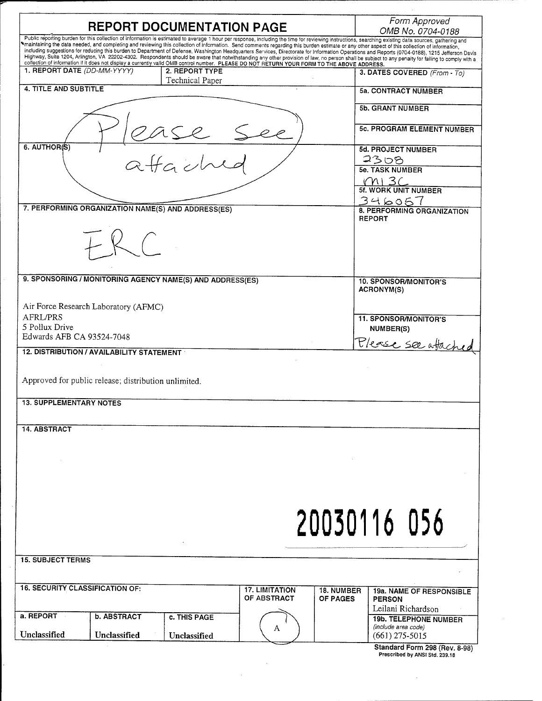| <b>REPORT DOCUMENTATION PAGE</b>                                                                                                                                                                                                                                                                                                                                                                                                                                                                                                                     | Form Approved<br>OMB No. 0704-0188                      |
|------------------------------------------------------------------------------------------------------------------------------------------------------------------------------------------------------------------------------------------------------------------------------------------------------------------------------------------------------------------------------------------------------------------------------------------------------------------------------------------------------------------------------------------------------|---------------------------------------------------------|
| Public reporting burden for this collection of information is estimated to average 1 hour per response, including the time for reviewing instructions, searching existing data sources, gathering and<br>I maintaining the data needed, and completing and reviewing this collection of information. Send comments regarding this burden estimate or any other aspect of this collection of information,                                                                                                                                             |                                                         |
| including suggestions for reducing this burden to Department of Defense, Washington Headquarters Services, Directorate for Information Operations and Reports (0704-0188), 1215 Jefferson Davis<br>Highway, Suite 1204, Arlington, VA 22202-4302. Respondents should be aware that notwithstanding any other provision of law, no person shall be subject to any penalty for failing to comply with a<br>collection of information if it does not display a currently valid OMB control number. PLEASE DO NOT RETURN YOUR FORM TO THE ABOVE ADDRESS. |                                                         |
| 1. REPORT DATE (DD-MM-YYYY)<br>2. REPORT TYPE                                                                                                                                                                                                                                                                                                                                                                                                                                                                                                        | 3. DATES COVERED (From - To)                            |
| Technical Paper<br><b>4. TITLE AND SUBTITLE</b>                                                                                                                                                                                                                                                                                                                                                                                                                                                                                                      | <b>5a. CONTRACT NUMBER</b>                              |
|                                                                                                                                                                                                                                                                                                                                                                                                                                                                                                                                                      |                                                         |
|                                                                                                                                                                                                                                                                                                                                                                                                                                                                                                                                                      | 5b. GRANT NUMBER                                        |
|                                                                                                                                                                                                                                                                                                                                                                                                                                                                                                                                                      | <b>5c. PROGRAM ELEMENT NUMBER</b>                       |
| $rac{1}{\alpha}$<br>6. AUTHOR(S)                                                                                                                                                                                                                                                                                                                                                                                                                                                                                                                     |                                                         |
|                                                                                                                                                                                                                                                                                                                                                                                                                                                                                                                                                      | <b>5d. PROJECT NUMBER</b><br>2308                       |
|                                                                                                                                                                                                                                                                                                                                                                                                                                                                                                                                                      | <b>5e. TASK NUMBER</b>                                  |
|                                                                                                                                                                                                                                                                                                                                                                                                                                                                                                                                                      | $\frac{1}{10}$ M   3 C<br>5f. WORK UNIT NUMBER          |
|                                                                                                                                                                                                                                                                                                                                                                                                                                                                                                                                                      |                                                         |
| 7. PERFORMING ORGANIZATION NAME(S) AND ADDRESS(ES)                                                                                                                                                                                                                                                                                                                                                                                                                                                                                                   | $346057$<br>8. PERFORMING ORGANIZATION<br><b>REPORT</b> |
|                                                                                                                                                                                                                                                                                                                                                                                                                                                                                                                                                      |                                                         |
|                                                                                                                                                                                                                                                                                                                                                                                                                                                                                                                                                      |                                                         |
|                                                                                                                                                                                                                                                                                                                                                                                                                                                                                                                                                      |                                                         |
|                                                                                                                                                                                                                                                                                                                                                                                                                                                                                                                                                      |                                                         |
| 9. SPONSORING / MONITORING AGENCY NAME(S) AND ADDRESS(ES)                                                                                                                                                                                                                                                                                                                                                                                                                                                                                            | 10. SPONSOR/MONITOR'S<br><b>ACRONYM(S)</b>              |
|                                                                                                                                                                                                                                                                                                                                                                                                                                                                                                                                                      |                                                         |
| Air Force Research Laboratory (AFMC)<br>AFRL/PRS                                                                                                                                                                                                                                                                                                                                                                                                                                                                                                     |                                                         |
| 5 Pollux Drive                                                                                                                                                                                                                                                                                                                                                                                                                                                                                                                                       | <b>11. SPONSOR/MONITOR'S</b><br>NUMBER(S)               |
| Edwards AFB CA 93524-7048                                                                                                                                                                                                                                                                                                                                                                                                                                                                                                                            | Please see atached                                      |
| 12. DISTRIBUTION / AVAILABILITY STATEMENT                                                                                                                                                                                                                                                                                                                                                                                                                                                                                                            |                                                         |
|                                                                                                                                                                                                                                                                                                                                                                                                                                                                                                                                                      |                                                         |
| Approved for public release; distribution unlimited.                                                                                                                                                                                                                                                                                                                                                                                                                                                                                                 |                                                         |
| <b>13. SUPPLEMENTARY NOTES</b>                                                                                                                                                                                                                                                                                                                                                                                                                                                                                                                       |                                                         |
|                                                                                                                                                                                                                                                                                                                                                                                                                                                                                                                                                      |                                                         |
| <b>14. ABSTRACT</b>                                                                                                                                                                                                                                                                                                                                                                                                                                                                                                                                  |                                                         |
|                                                                                                                                                                                                                                                                                                                                                                                                                                                                                                                                                      |                                                         |
|                                                                                                                                                                                                                                                                                                                                                                                                                                                                                                                                                      |                                                         |
|                                                                                                                                                                                                                                                                                                                                                                                                                                                                                                                                                      |                                                         |
|                                                                                                                                                                                                                                                                                                                                                                                                                                                                                                                                                      |                                                         |
|                                                                                                                                                                                                                                                                                                                                                                                                                                                                                                                                                      |                                                         |
|                                                                                                                                                                                                                                                                                                                                                                                                                                                                                                                                                      |                                                         |
|                                                                                                                                                                                                                                                                                                                                                                                                                                                                                                                                                      | 20030116 056                                            |
|                                                                                                                                                                                                                                                                                                                                                                                                                                                                                                                                                      |                                                         |
| <b>15. SUBJECT TERMS</b>                                                                                                                                                                                                                                                                                                                                                                                                                                                                                                                             |                                                         |
|                                                                                                                                                                                                                                                                                                                                                                                                                                                                                                                                                      |                                                         |
| <b>16. SECURITY CLASSIFICATION OF:</b><br><b>17. LIMITATION</b>                                                                                                                                                                                                                                                                                                                                                                                                                                                                                      | <b>18. NUMBER</b><br><b>19a. NAME OF RESPONSIBLE</b>    |
| OF ABSTRACT<br>OF PAGES                                                                                                                                                                                                                                                                                                                                                                                                                                                                                                                              | <b>PERSON</b>                                           |
| a. REPORT<br><b>b. ABSTRACT</b><br>c. THIS PAGE                                                                                                                                                                                                                                                                                                                                                                                                                                                                                                      | Leilani Richardson<br><b>19b. TELEPHONE NUMBER</b>      |
|                                                                                                                                                                                                                                                                                                                                                                                                                                                                                                                                                      |                                                         |
| A<br>Unclassified<br>Unclassified<br>Unclassified                                                                                                                                                                                                                                                                                                                                                                                                                                                                                                    | (include area code)<br>$(661)$ 275-5015                 |

 $\mathcal{L}^{\text{max}}_{\text{max}}$  and  $\mathcal{L}^{\text{max}}_{\text{max}}$ 

 $\label{eq:2.1} \frac{1}{2}\int_{\mathbb{R}^3}\frac{1}{\sqrt{2\pi}}\left(\frac{1}{\sqrt{2\pi}}\right)^2\frac{dx}{\sqrt{2\pi}}\,.$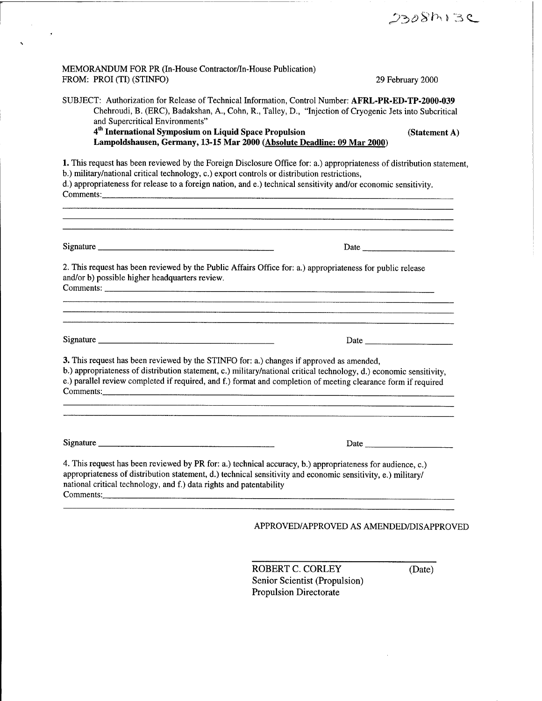| MEMORANDUM FOR PR (In-House Contractor/In-House Publication)<br>FROM: PROI (TI) (STINFO)                                                                                                                                                                                                                                                       | 29 February 2000                                                                                                                                                                                                                                                                               |
|------------------------------------------------------------------------------------------------------------------------------------------------------------------------------------------------------------------------------------------------------------------------------------------------------------------------------------------------|------------------------------------------------------------------------------------------------------------------------------------------------------------------------------------------------------------------------------------------------------------------------------------------------|
| SUBJECT: Authorization for Release of Technical Information, Control Number: AFRL-PR-ED-TP-2000-039<br>Chehroudi, B. (ERC), Badakshan, A., Cohn, R., Talley, D., "Injection of Cryogenic Jets into Subcritical<br>and Supercritical Environments"                                                                                              |                                                                                                                                                                                                                                                                                                |
| 4 <sup>th</sup> International Symposium on Liquid Space Propulsion<br>Lampoldshausen, Germany, 13-15 Mar 2000 (Absolute Deadline: 09 Mar 2000)                                                                                                                                                                                                 | (Statement A)                                                                                                                                                                                                                                                                                  |
| 1. This request has been reviewed by the Foreign Disclosure Office for: a.) appropriateness of distribution statement,<br>b.) military/national critical technology, c.) export controls or distribution restrictions,<br>d.) appropriateness for release to a foreign nation, and e.) technical sensitivity and/or economic sensitivity.      |                                                                                                                                                                                                                                                                                                |
|                                                                                                                                                                                                                                                                                                                                                |                                                                                                                                                                                                                                                                                                |
| 2. This request has been reviewed by the Public Affairs Office for: a.) appropriateness for public release<br>and/or b) possible higher headquarters review.                                                                                                                                                                                   |                                                                                                                                                                                                                                                                                                |
|                                                                                                                                                                                                                                                                                                                                                |                                                                                                                                                                                                                                                                                                |
| 3. This request has been reviewed by the STINFO for: a.) changes if approved as amended,<br>b.) appropriateness of distribution statement, c.) military/national critical technology, d.) economic sensitivity,<br>e.) parallel review completed if required, and f.) format and completion of meeting clearance form if required<br>Comments: |                                                                                                                                                                                                                                                                                                |
|                                                                                                                                                                                                                                                                                                                                                |                                                                                                                                                                                                                                                                                                |
|                                                                                                                                                                                                                                                                                                                                                | Date $\frac{1}{2}$ and $\frac{1}{2}$ and $\frac{1}{2}$ and $\frac{1}{2}$ and $\frac{1}{2}$ and $\frac{1}{2}$ and $\frac{1}{2}$ and $\frac{1}{2}$ and $\frac{1}{2}$ and $\frac{1}{2}$ and $\frac{1}{2}$ and $\frac{1}{2}$ and $\frac{1}{2}$ and $\frac{1}{2}$ and $\frac{1}{2}$ and $\frac{1}{$ |
| 4. This request has been reviewed by PR for: a.) technical accuracy, b.) appropriateness for audience, c.)<br>appropriateness of distribution statement, d.) technical sensitivity and economic sensitivity, e.) military/<br>national critical technology, and f.) data rights and patentability<br>Comments:                                 |                                                                                                                                                                                                                                                                                                |
| and the company of the company of the company of the company of the company of the company of the company of the                                                                                                                                                                                                                               | APPROVED/APPROVED AS AMENDED/DISAPPROVED                                                                                                                                                                                                                                                       |
|                                                                                                                                                                                                                                                                                                                                                |                                                                                                                                                                                                                                                                                                |

 $\label{eq:2} \begin{array}{l} \frac{1}{\sqrt{2}}\left( \frac{1}{\sqrt{2}}\right) \left( \frac{1}{\sqrt{2}}\right) \left( \frac{1}{\sqrt{2}}\right) \left( \frac{1}{\sqrt{2}}\right) \left( \frac{1}{\sqrt{2}}\right) \left( \frac{1}{\sqrt{2}}\right) \left( \frac{1}{\sqrt{2}}\right) \left( \frac{1}{\sqrt{2}}\right) \left( \frac{1}{\sqrt{2}}\right) \left( \frac{1}{\sqrt{2}}\right) \left( \frac{1}{\sqrt{2}}\right) \left( \frac{1}{\sqrt{2}}\right) \left( \$ 

ROBERT C. CORLEY (Date) Senior Scientist (Propulsion) Propulsion Directorate

 $\sim 10^7$ 

 $2308$ M $3$ C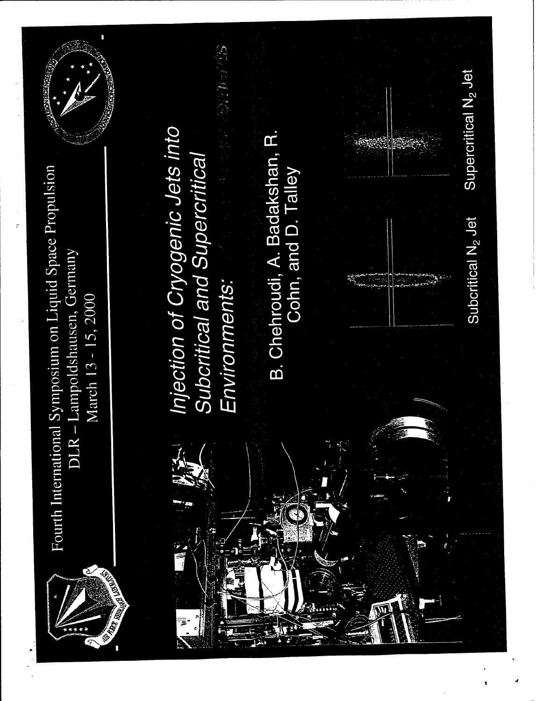

Fourth International Symposium on Liquid Space Propulsion March 13 - 15, 2000



Injection of Cryogenic Jets into Subcritical and Supercritical Environments:

B. Chehroudi, A. Badakshan, R. Cohn, and D. Talley Supercritical N<sub>2</sub> Jet

Subcritical N<sub>2</sub> Jet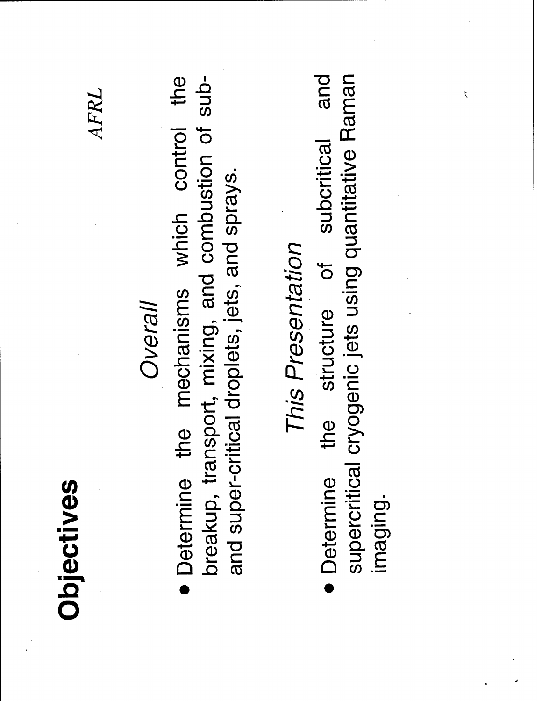### Objectives

#### AFRL

#### Overall

Determine the mechanisms which control the breakup, transport, mixing, and combustion of suband super-critical droplets, jets, and sprays.

## This Presentation

and supercritical cryogenic jets using quantitative Raman subcritical structure of  $\frac{1}{10}$ **Determine** imaging.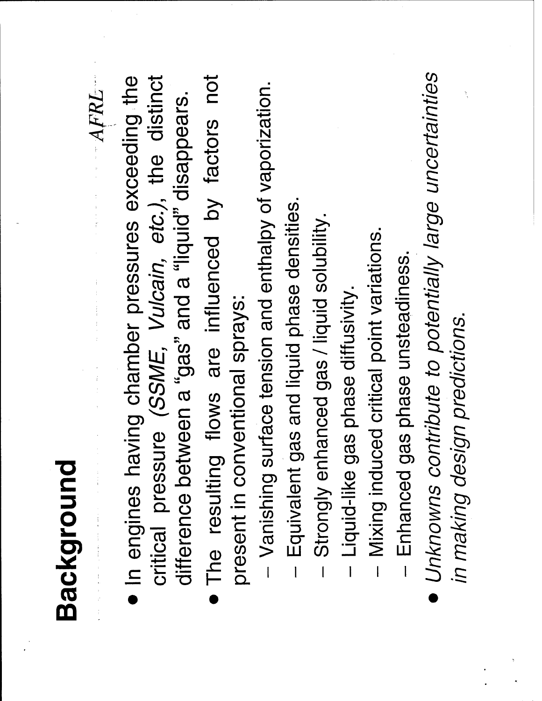### Background

critical pressure (SSME, Vulcain, etc.), the distinct · In engines having chamber pressures exceeding the difference between a "gas" and a "liquid" disappears.

AFRL

- The resulting flows are influenced by factors not present in conventional sprays:
- Vanishing surface tension and enthalpy of vaporization.
- Equivalent gas and liquid phase densities.
- Strongly enhanced gas / liquid solubility.  $\overline{1}$ 
	- Liquid-like gas phase diffusivity.
- Mixing induced critical point variations.
- Enhanced gas phase unsteadiness.
- Unknowns contribute to potentially large uncertainties in making design predictions.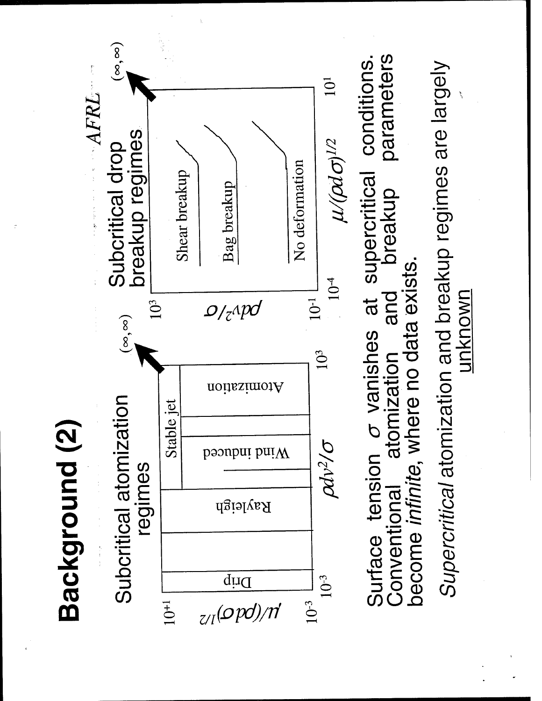## Background (2)



Surface tension  $\sigma$  vanishes at supercritical conditions.<br>Conventional atomization and breakup parameters parameters become infinite, where no data exists.

Supercritical atomization and breakup regimes are largely <u>unknown</u>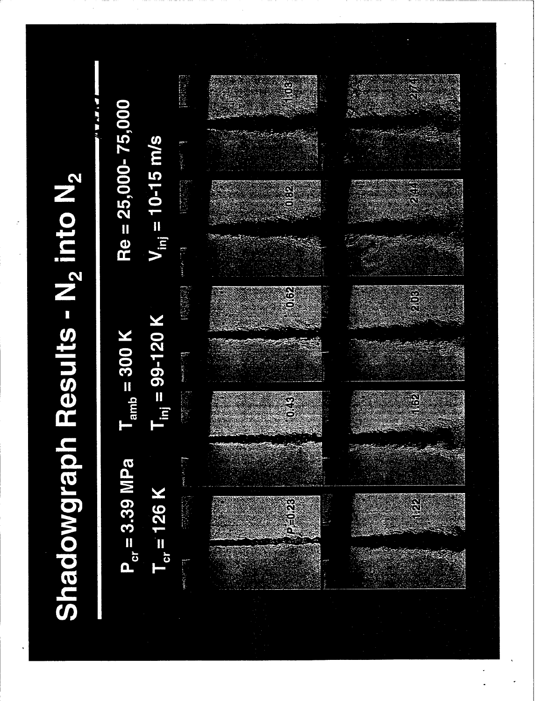画框  $Re = 25,000 - 75,000$  $V_{\text{inj}} = 10 - 15 \text{ m/s}$ **Executive** Shadowgraph Results - N<sub>2</sub> into N<sub>2</sub> **Billiam** (特許科) **es**<br>O  $T_{\text{inj}} = 99 - 120$  K  $T_{amb}$  = 300 K  $P_{cr} = 3.39$  MPa  $T_{cr}$  = 126 K **Communication**  $\hat{\mathbb{R}}$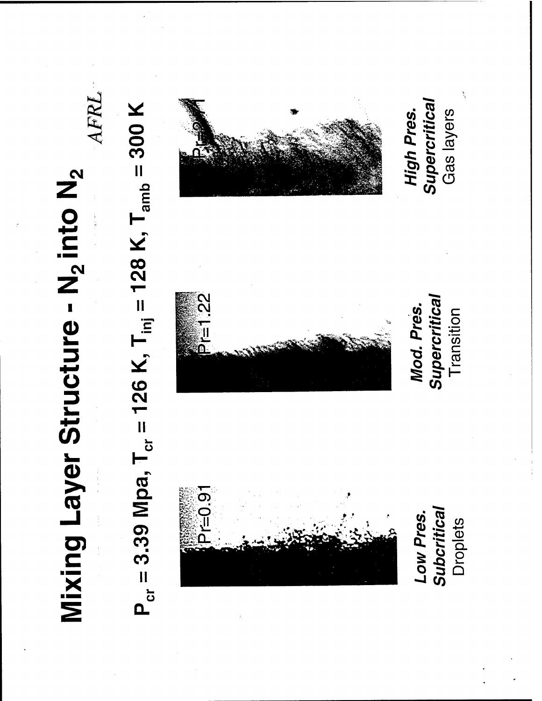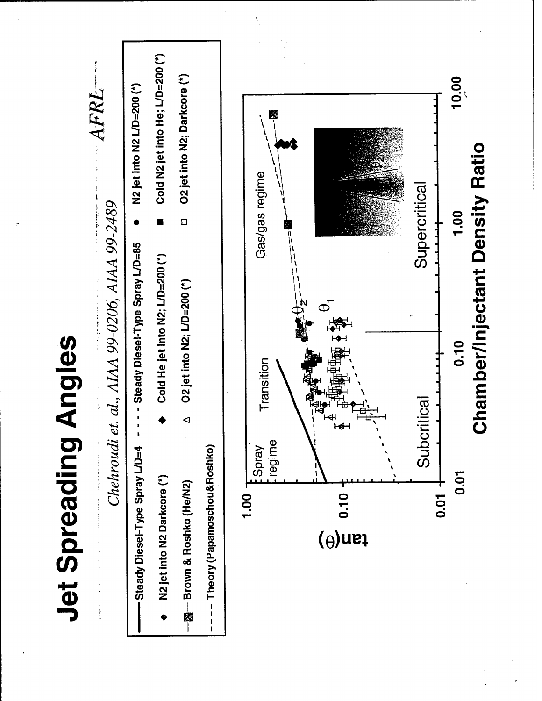# **Jet Spreading Angles**



10.00

1.00

0.10

**0.01** 

**+ ro.0** 

**Chamber/Injectant Density Ratio**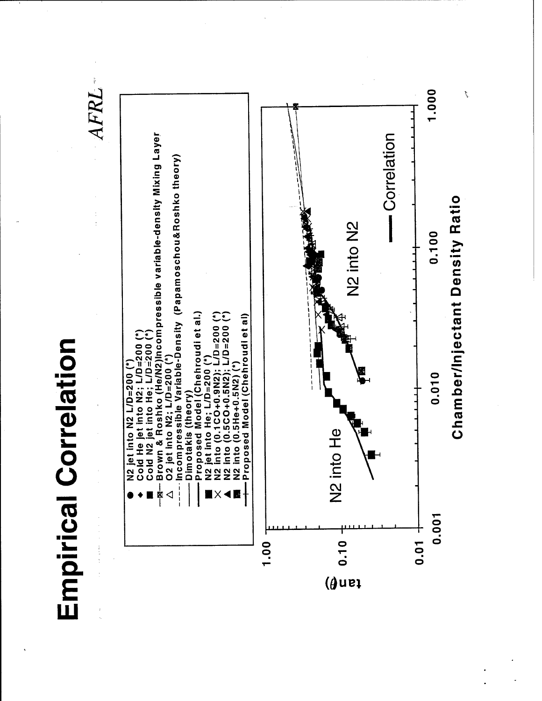# **Empirical Correlation**

 $AFRL$ 



r.<br>T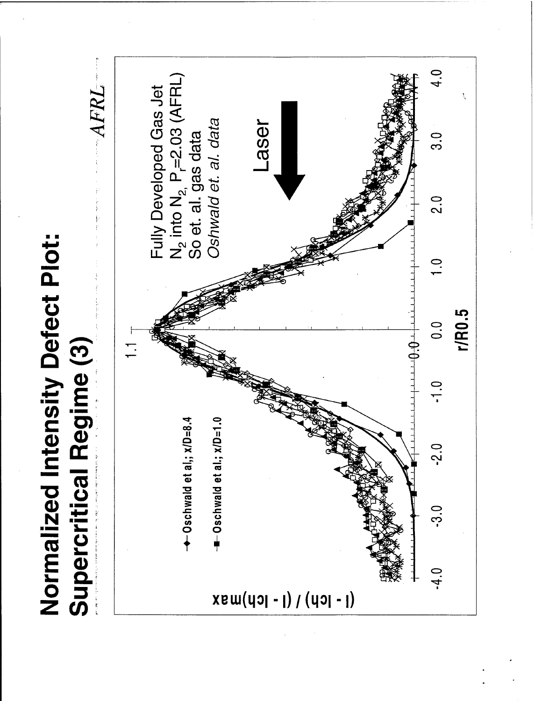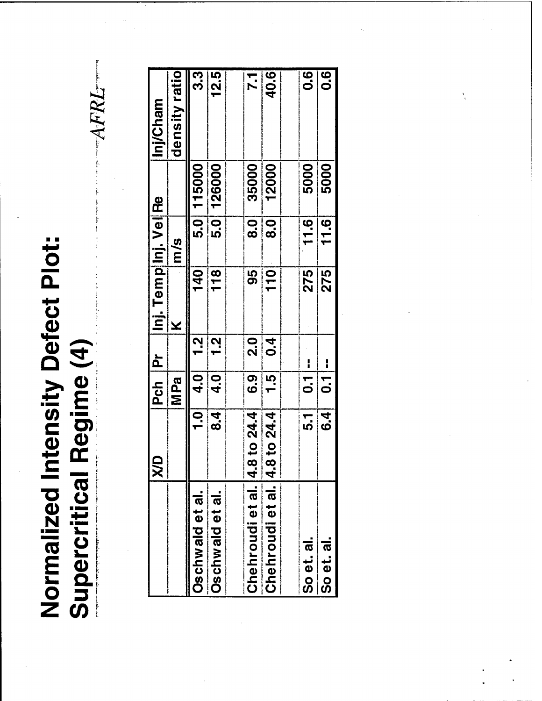Normalized Intensity Defect Plot: Supercritical Regime (4)

| i<br>Sirika 1 |
|---------------|
|               |
|               |
| f.            |
| イイド<br>ś<br>ĩ |
|               |
| ļ             |

|                      | JУД                       | Pch Pr         |                 | Inj. Tempinj. Vel Re |                           |            | Inj/Cham          |
|----------------------|---------------------------|----------------|-----------------|----------------------|---------------------------|------------|-------------------|
|                      |                           | MPa            |                 | ×                    | m/s                       |            | density ratio     |
| Oschwald et al.      |                           | $1.0$ 4.0      | <u>า</u><br>1.2 | 140                  |                           | 5.0 115000 | 3.3               |
| Oschwald et al.      | $\overline{\overline{4}}$ | $\overline{a}$ | 2.<br>T         | 118                  |                           | 5.0 126000 | 12.5              |
|                      |                           |                |                 |                      |                           |            |                   |
| Chehroudi et al. 4.8 | to $24.4$                 | 6.9            | 2.0             | 95                   | $\overline{8}$ .0         | 35000      | 7.1               |
| Chehroudi et al. 4.8 | to $24.4$                 | $\frac{1}{15}$ | 0.4             | 110                  | $\overline{\mathbf{8.0}}$ | 12000      | 40.6              |
|                      |                           |                |                 |                      |                           |            |                   |
| So et. al.           | $\overline{1}$            | $\frac{1}{7}$  |                 | 275                  | 11.6                      | 5000       | $\overline{0}$ .6 |
| So et. al.           | $\overline{\mathbf{5}}$   | $\frac{1}{7}$  |                 | 275                  | 11.6                      | 5000       | 0.6               |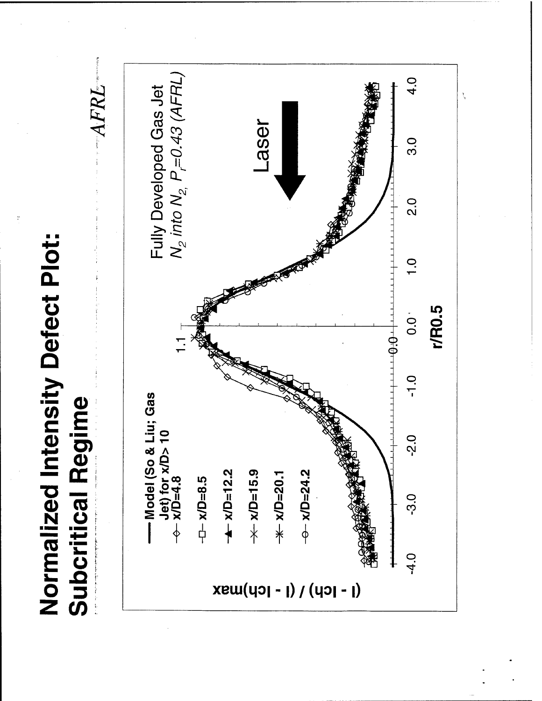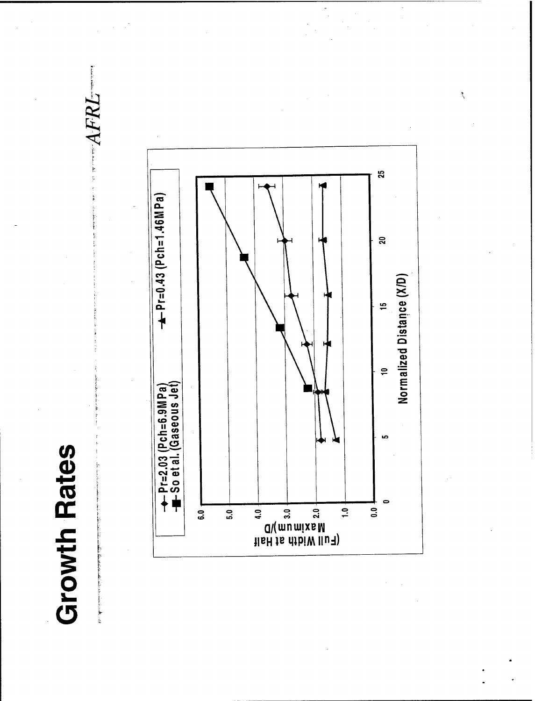### **Growth Rates**

i<br>E



AFRL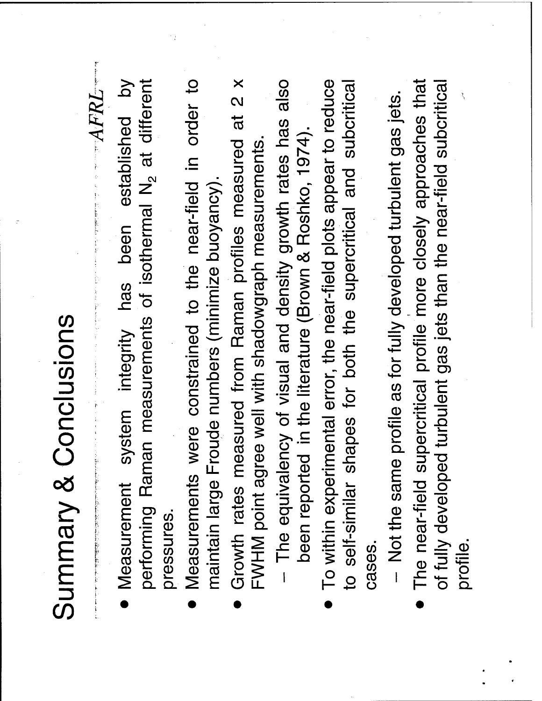# Summary & Conclusions

 $\overline{b}$ performing Raman measurements of isothermal N<sub>2</sub> at different Measurement system integrity has been established pressures.

 $-ABRL$ 

- Measurements were constrained to the near-field in order to maintain large Froude numbers (minimize buoyancy).
- Growth rates measured from Raman profiles measured at 2 x FWHM point agree well with shadowgraph measurements.
- The equivalency of visual and density growth rates has also been reported in the literature (Brown & Roshko, 1974).
- To within experimental error, the near-field plots appear to reduce to self-similar shapes for both the supercritical and subcritical cases.

- Not the same profile as for fully developed turbulent gas jets.

The near-field supercritical profile more closely approaches that of fully developed turbulent gas jets than the near-field subcritical profile.